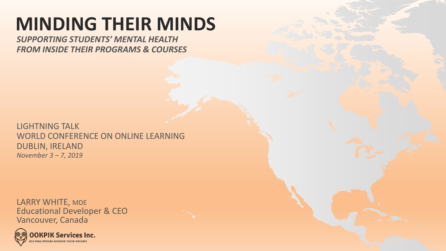## **MINDING THEIR MINDS**

*SUPPORTING STUDENTS' MENTAL HEALTH FROM INSIDE THEIR PROGRAMS & COURSES*

LIGHTNING TALK WORLD CONFERENCE ON ONLINE LEARNING DUBLIN, IRELAND *November 3 – 7, 2019*

LARRY WHITE, MDE Educational Developer & CEO Vancouver, Canada

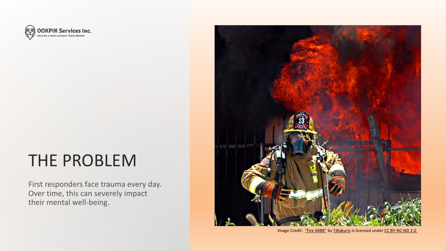

#### THE PROBLEM

First responders face trauma every day. Over time, this can severely impact their mental well-being.



Image Credit: ["Fire 048B"](https://www.flickr.com/photos/60546255@N03/5520964921) by [TJKakuris](https://www.flickr.com/photos/60546255@N03) is licensed under [CC BY-NC-ND 2.0](https://creativecommons.org/licenses/by-nc-nd/2.0/?ref=ccsearch&atype=rich)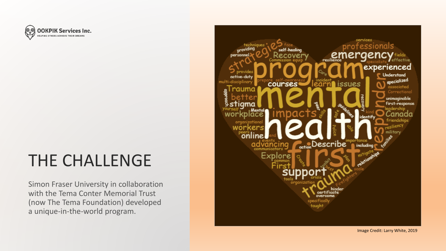

#### THE CHALLENGE

Simon Fraser University in collaboration with the Tema Conter Memorial Trust (now The Tema Foundation) developed a unique -in -the -world program.



Image Credit: Larry White, 2019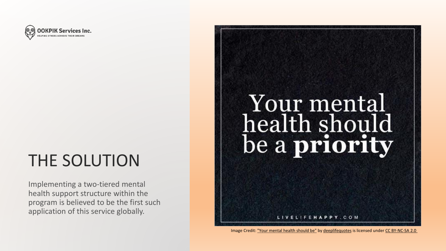

### THE SOLUTION

Implementing a two-tiered mental health support structure within the program is believed to be the first such application of this service globally.

# Your mental health should be a priority

ELIFEHAPPY.COM

Image Credit: ["Your mental health should be"](https://www.flickr.com/photos/78592755@N06/36050713993) by [deeplifequotes](https://www.flickr.com/photos/78592755@N06) is licensed under [CC BY-NC-SA 2.0](https://creativecommons.org/licenses/by-nc-sa/2.0/?ref=ccsearch&atype=rich)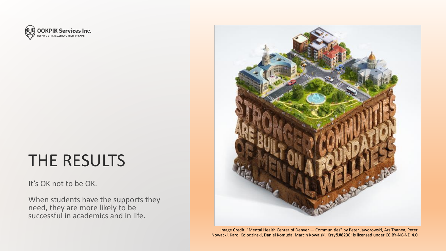

#### THE RESULTS

#### It's OK not to be OK.

When students have the supports they need, they are more likely to be successful in academics and in life.



Image Credit: ["Mental Health Center of Denver](https://www.behance.net/gallery/8190329/Mental-Health-Center-of-Denver-Communities) — Communities" by Peter Jaworowski, Ars Thanea, Peter Nowacki, Karol Kolodzinski, Daniel Komuda, Marcin Kowalski, Krzy… is licensed under [CC BY-NC-ND 4.0](https://creativecommons.org/licenses/by-nc-nd/4.0/?ref=ccsearch&atype=rich)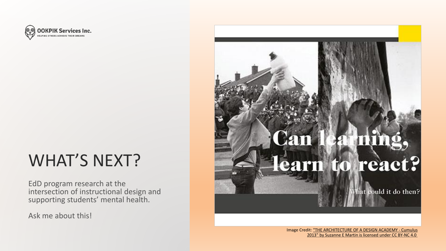

#### WHAT'S NEXT?

EdD program research at the intersection of instructional design and supporting students' mental health.

Ask me about this!

# rn to react? hat could it do then?

Image Cre[dit: "THE ARCHITECTURE OF A DESIGN ACADEMY -](https://www.behance.net/gallery/16456227/THE-ARCHITECTURE-OF-A-DESIGN-ACADEMY-Cumulus-2013) Cumulus 2013" by Suzanne E Martin is licensed under [CC BY-NC 4.0](https://creativecommons.org/licenses/by-nc/4.0/?ref=ccsearch&atype=rich)